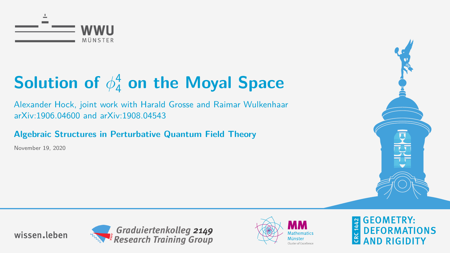<span id="page-0-0"></span>

Alexander Hock, joint work with Harald Grosse and Raimar Wulkenhaar arXiv:1906.04600 and arXiv:1908.04543

**Algebraic Structures in Perturbative Quantum Field Theory**

November 19, 2020









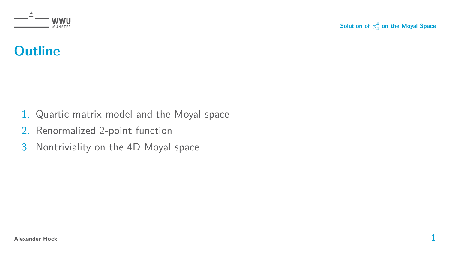

## **Outline**

- 1. Quartic matrix model and the Moyal space
- 2. Renormalized 2-point function
- 3. Nontriviality on the 4D Moyal space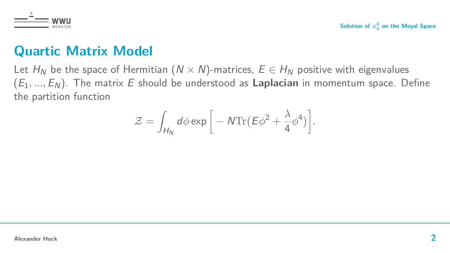



## **Quartic Matrix Model**

Let  $H_N$  be the space of Hermitian  $(N \times N)$ -matrices,  $E \in H_N$  positive with eigenvalues  $(E_1, ..., E_N)$ . The matrix E should be understood as **Laplacian** in momentum space. Define the partition function

$$
\mathcal{Z} = \int_{H_N} d\phi \exp\bigg[-N \text{Tr}(\mathcal{E}\phi^2 + \frac{\lambda}{4}\phi^4)\bigg].
$$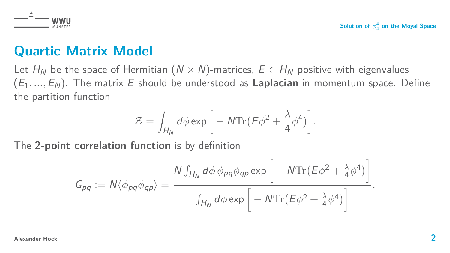

## **Quartic Matrix Model**

Let  $H_N$  be the space of Hermitian  $(N \times N)$ -matrices,  $E \in H_N$  positive with eigenvalues  $(E_1, ..., E_N)$ . The matrix E should be understood as **Laplacian** in momentum space. Define the partition function

$$
\mathcal{Z} = \int_{H_N} d\phi \exp\bigg[-N \text{Tr}(\mathcal{E}\phi^2 + \frac{\lambda}{4}\phi^4)\bigg].
$$

The **2-point correlation function** is by definition

$$
G_{pq} := N \langle \phi_{pq} \phi_{qp} \rangle = \frac{N \int_{H_N} d\phi \, \phi_{pq} \phi_{qp} \exp \left[ -N \text{Tr} \left( E \phi^2 + \frac{\lambda}{4} \phi^4 \right) \right]}{\int_{H_N} d\phi \exp \left[ -N \text{Tr} \left( E \phi^2 + \frac{\lambda}{4} \phi^4 \right) \right]}.
$$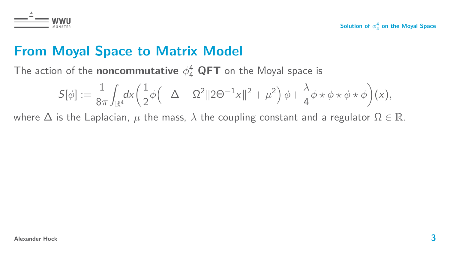

## **From Moyal Space to Matrix Model**

The action of the **noncommutative**  $\phi_4^4$  **QFT** on the Moyal space is

$$
\mathcal{S}[\phi]:=\frac{1}{8\pi}\!\int_{\mathbb{R}^4}\!\!d\mathsf{x}\!\left(\frac{1}{2}\phi\!\left(-\Delta+\Omega^2\|2\Theta^{-1}\mathsf{x}\|^2+\mu^2\right)\phi\!+\frac{\lambda}{4}\phi\star\phi\star\phi\star\phi\right)\!(x),
$$

where  $\Delta$  is the Laplacian,  $\mu$  the mass,  $\lambda$  the coupling constant and a regulator  $\Omega \in \mathbb{R}$ .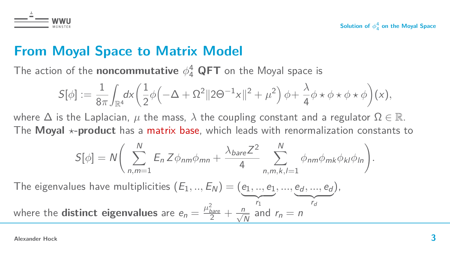

## **From Moyal Space to Matrix Model**

The action of the **noncommutative**  $\phi_4^4$  **QFT** on the Moyal space is

$$
\mathcal{S}[\phi]:=\frac{1}{8\pi}\!\int_{\mathbb{R}^4}\!\!d\mathsf{x}\!\left(\frac{1}{2}\phi\!\left(-\Delta+\Omega^2\|2\Theta^{-1}\mathsf{x}\|^2+\mu^2\right)\phi\!+\frac{\lambda}{4}\phi\star\phi\star\phi\star\phi\right)\!(x),
$$

where  $\Delta$  is the Laplacian,  $\mu$  the mass,  $\lambda$  the coupling constant and a regulator  $\Omega \in \mathbb{R}$ . The **Moyal**  $\star$ -**product** has a matrix base, which leads with renormalization constants to

$$
S[\phi] = N \bigg( \sum_{n,m=1}^{N} E_n Z \phi_{nm} \phi_{mn} + \frac{\lambda_{bare} Z^2}{4} \sum_{n,m,k,l=1}^{N} \phi_{nm} \phi_{mk} \phi_{kl} \phi_{ln} \bigg).
$$

The eigenvalues have multiplicities  $(E_1,..,E_N) = (e_1,..,e_1)$ *, ...,* e<sup>d</sup> *, ...,* e<sup>d</sup>  ${r_d}$ ),

 $\overline{r_1}$ where the **distinct eigenvalues** are  $e_n = \frac{\mu_{bare}^2}{2} + \frac{n}{\sqrt{N}}$  and  $r_n = n$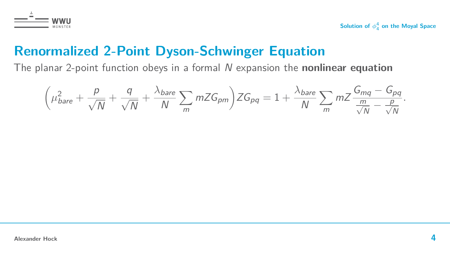

## **Renormalized 2-Point Dyson-Schwinger Equation**

The planar 2-point function obeys in a formal N expansion the **nonlinear equation**

$$
\left(\mu_{bare}^2 + \frac{p}{\sqrt{N}} + \frac{q}{\sqrt{N}} + \frac{\lambda_{bare}}{N} \sum_m mZG_{pm}\right)ZG_{pq} = 1 + \frac{\lambda_{bare}}{N} \sum_m mZ \frac{G_{mq} - G_{pq}}{\frac{m}{\sqrt{N}} - \frac{p}{\sqrt{N}}}.
$$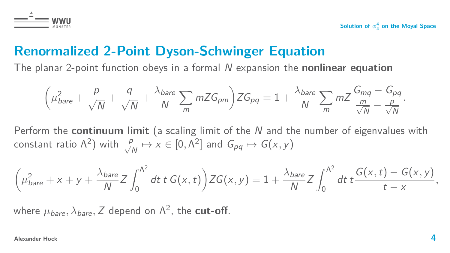

## **Renormalized 2-Point Dyson-Schwinger Equation**

The planar 2-point function obeys in a formal N expansion the **nonlinear equation**

$$
\left(\mu_{bare}^2 + \frac{p}{\sqrt{N}} + \frac{q}{\sqrt{N}} + \frac{\lambda_{bare}}{N} \sum_m mZG_{pm}\right)ZG_{pq} = 1 + \frac{\lambda_{bare}}{N} \sum_m mZ\frac{G_{mq} - G_{pq}}{\frac{m}{\sqrt{N}} - \frac{p}{\sqrt{N}}}.
$$

Perform the **continuum limit** (a scaling limit of the N and the number of eigenvalues with constant ratio  $\Lambda^2$ ) with  $\frac{p}{\sqrt{p}}$  $\frac{p}{N} \mapsto x \in [0, \Lambda^2]$  and  $G_{pq} \mapsto G(x, y)$ 

$$
\left(\mu_{bare}^2 + x + y + \frac{\lambda_{bare}}{N}Z \int_0^{\Lambda^2} dt \ t \ G(x,t)\right) ZG(x,y) = 1 + \frac{\lambda_{bare}}{N}Z \int_0^{\Lambda^2} dt \ t \frac{G(x,t) - G(x,y)}{t-x},
$$

where  $\mu_{\textit{bare}}, \lambda_{\textit{bare}}, Z$  depend on  $\Lambda^2$ , the  $\textsf{cut-off}.$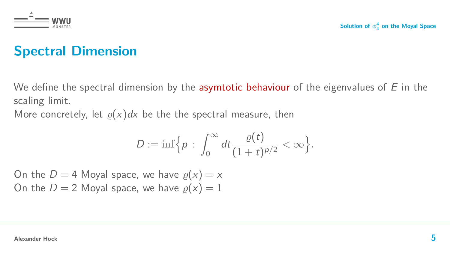

## **Spectral Dimension**

We define the spectral dimension by the **asymtotic behaviour** of the eigenvalues of  $E$  in the scaling limit.

More concretely, let  $\rho(x)dx$  be the the spectral measure, then

$$
D:=\inf\Big\{p\,:\,\int_0^\infty dt\frac{\varrho(t)}{(1+t)^{p/2}}<\infty\Big\}.
$$

On the  $D = 4$  Moyal space, we have  $\rho(x) = x$ On the  $D = 2$  Moyal space, we have  $\rho(x) = 1$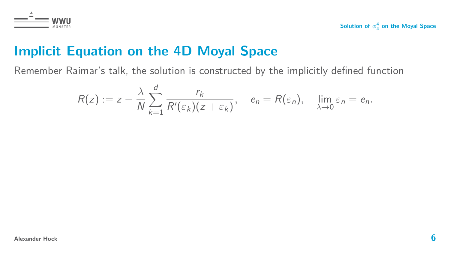

## **Implicit Equation on the 4D Moyal Space**

Remember Raimar's talk, the solution is constructed by the implicitly defined function

$$
R(z) := z - \frac{\lambda}{N} \sum_{k=1}^d \frac{r_k}{R'(\varepsilon_k)(z + \varepsilon_k)}, \quad e_n = R(\varepsilon_n), \quad \lim_{\lambda \to 0} \varepsilon_n = e_n.
$$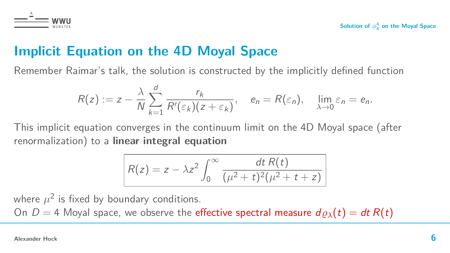

## **Implicit Equation on the 4D Moyal Space**

Remember Raimar's talk, the solution is constructed by the implicitly defined function

$$
R(z) := z - \frac{\lambda}{N} \sum_{k=1}^d \frac{r_k}{R'(\varepsilon_k)(z + \varepsilon_k)}, \quad e_n = R(\varepsilon_n), \quad \lim_{\lambda \to 0} \varepsilon_n = e_n.
$$

This implicit equation converges in the continuum limit on the 4D Moyal space (after renormalization) to a **linear integral equation**

$$
R(z) = z - \lambda z^2 \int_0^\infty \frac{dt R(t)}{(\mu^2 + t)^2 (\mu^2 + t + z)}
$$

where  $\mu^2$  is fixed by boundary conditions.

On  $D = 4$  Moyal space, we observe the effective spectral measure  $d\rho_{\lambda}(t) = dt R(t)$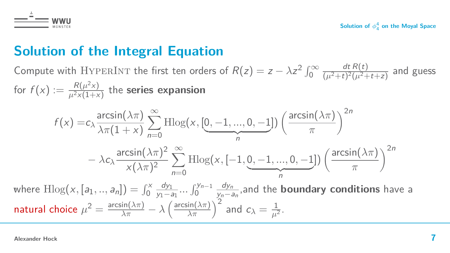

## **Solution of the Integral Equation**

Compute with HYPERINT the first ten orders of  $R(z) = z - \lambda z^2 \int_0^\infty$  $dt R(t)$  $\frac{u \ln (t)}{(\mu^2+t)^2(\mu^2+t+z)}$  and guess for  $f(x) := \frac{R(\mu^2 x)}{\mu^2 x (1+x)}$  $\frac{K(\mu \times f)}{\mu^2 \times (1 + \times)}$  the **series expansion** 

$$
f(x) = c_{\lambda} \frac{\arcsin(\lambda \pi)}{\lambda \pi (1+x)} \sum_{n=0}^{\infty} \text{Hlog}(x, [0, -1, ..., 0, -1]) \left(\frac{\arcsin(\lambda \pi)}{\pi}\right)^{2n}
$$

$$
- \lambda c_{\lambda} \frac{\arcsin(\lambda \pi)^{2}}{x(\lambda \pi)^{2}} \sum_{n=0}^{\infty} \text{Hlog}(x, [-1, \underbrace{0, -1, ..., 0, -1}_{n}]) \left(\frac{\arcsin(\lambda \pi)}{\pi}\right)^{2n}
$$
  
where 
$$
\text{Hlog}(x, [a_1, ..., a_n]) = \int_{0}^{x} \frac{dy_1}{y_1 - a_1} ... \int_{0}^{y_{n-1}} \frac{dy_n}{y_n - a_n}
$$
, and the **boundary conditions** have a

natural choice  $\mu^2 = \frac{\arcsin(\lambda \pi)}{\lambda \pi} - \lambda \left( \frac{\arcsin(\lambda \pi)}{\lambda \pi} \right)^2$  and  $c_\lambda = \frac{1}{\mu^2}$ .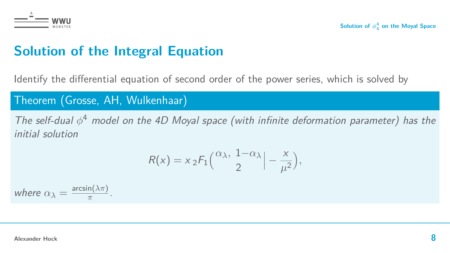

## **Solution of the Integral Equation**

Identify the differential equation of second order of the power series, which is solved by

### Theorem (Grosse, AH, Wulkenhaar)

The self-dual *φ* <sup>4</sup> model on the 4D Moyal space (with infinite deformation parameter) has the initial solution

$$
R(x) = x_2 F_1\left(\frac{\alpha_{\lambda}, 1-\alpha_{\lambda}}{2}\right) - \frac{x}{\mu^2},
$$

where  $\alpha_{\lambda} = \frac{\arcsin(\lambda \pi)}{\pi}$  $\frac{n(\lambda\pi)}{\pi}$ .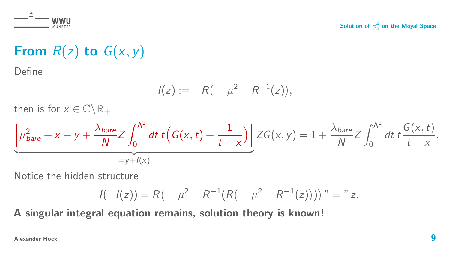

## **From**  $R(z)$  **to**  $G(x, y)$

Define

 $\ddot{\phantom{1}}$ 

$$
I(z) := -R(-\mu^2 - R^{-1}(z)),
$$

then is for  $x \in \mathbb{C} \backslash \mathbb{R}_+$ 

$$
\underbrace{\left[\mu_{\text{bare}}^2 + x + y + \frac{\lambda_{\text{bare}}}{N}Z \int_0^{\Lambda^2} dt \ t\Big(G(x,t) + \frac{1}{t-x}\Big)\right]}_{=y+I(x)} ZG(x,y) = 1 + \frac{\lambda_{\text{bare}}}{N}Z \int_0^{\Lambda^2} dt \ t \frac{G(x,t)}{t-x}.
$$

Notice the hidden structure

$$
-I(-I(z)) = R\left(-\mu^2 - R^{-1}(R\left(-\mu^2 - R^{-1}(z)\right)\right)\right)'' = "z.
$$

**A singular integral equation remains, solution theory is known!**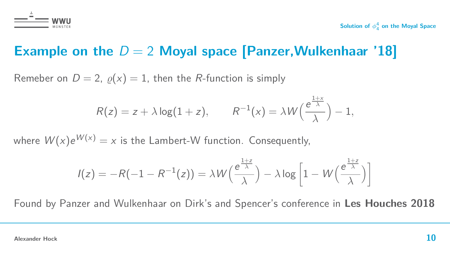

## **Example on the**  $D = 2$  Moyal space [Panzer, Wulkenhaar '18]

Remeber on  $D = 2$ ,  $\rho(x) = 1$ , then the *R*-function is simply

$$
R(z) = z + \lambda \log(1 + z), \qquad R^{-1}(x) = \lambda W\left(\frac{e^{\frac{1+x}{\lambda}}}{\lambda}\right) - 1,
$$

where  $W(x)e^{W(x)} = x$  is the Lambert-W function. Consequently,

$$
I(z) = -R(-1 - R^{-1}(z)) = \lambda W\left(\frac{e^{\frac{1+z}{\lambda}}}{\lambda}\right) - \lambda \log \left[1 - W\left(\frac{e^{\frac{1+z}{\lambda}}}{\lambda}\right)\right]
$$

Found by Panzer and Wulkenhaar on Dirk's and Spencer's conference in **Les Houches 2018**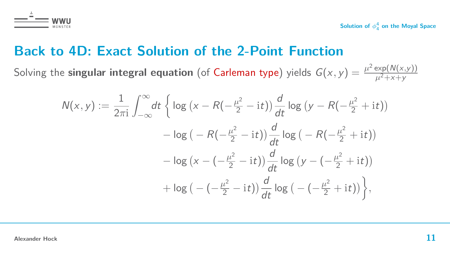

## **Back to 4D: Exact Solution of the 2-Point Function**

Solving the **singular integral equation** (of Carleman type) yields  $G(x, y) = \frac{\mu^2 \exp(N(x, y))}{\mu^2 + x + y}$  $\mu^2$ +x+y

$$
N(x, y) := \frac{1}{2\pi i} \int_{-\infty}^{\infty} dt \left\{ \log (x - R(-\frac{\mu^2}{2} - it)) \frac{d}{dt} \log (y - R(-\frac{\mu^2}{2} + it)) -\log (-R(-\frac{\mu^2}{2} - it)) \frac{d}{dt} \log (-R(-\frac{\mu^2}{2} + it)) -\log (x - (-\frac{\mu^2}{2} - it)) \frac{d}{dt} \log (y - (-\frac{\mu^2}{2} + it)) +\log (-(-\frac{\mu^2}{2} - it)) \frac{d}{dt} \log (-(-\frac{\mu^2}{2} + it)) \right\},\,
$$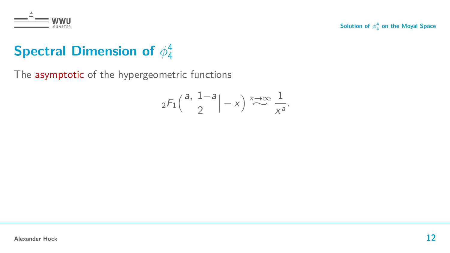

### **Spectral Dimension of** *φ* 4 4

The asymptotic of the hypergeometric functions

$$
{}_2F_1\left(\begin{array}{c}a, 1-a\\2\end{array}\right)-x\right)\stackrel{x\to\infty}{\sim}\frac{1}{x^a}.
$$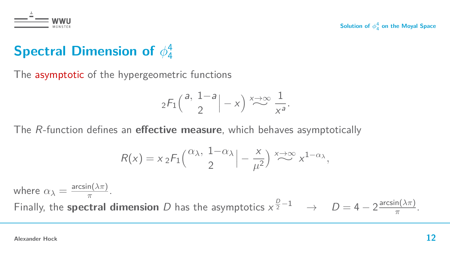

### **Spectral Dimension of** *φ* 4 4

The asymptotic of the hypergeometric functions

$$
{}_2F_1\left(\begin{array}{c}a, 1-a\\2\end{array}\right|-x\right)\stackrel{x\to\infty}{\sim}\frac{1}{x^a}.
$$

The R-function defines an **effective measure**, which behaves asymptotically

$$
R(x) = x \, {}_2F_1\left(\frac{\alpha_{\lambda}}{2}, \frac{1-\alpha_{\lambda}}{2}\right) \stackrel{x \to \infty}{\sim} x^{1-\alpha_{\lambda}},
$$

where  $\alpha_{\lambda} = \frac{\arcsin(\lambda \pi)}{\pi}$  $\frac{n(\lambda \pi)}{\pi}$ . Finally, the **spectral dimension** D has the asymptotics  $x^{\frac{D}{2}-1} \rightarrow D = 4 - 2 \frac{\arcsin(\lambda \pi)}{\pi}$  $\frac{n(\lambda \pi)}{\pi}$ .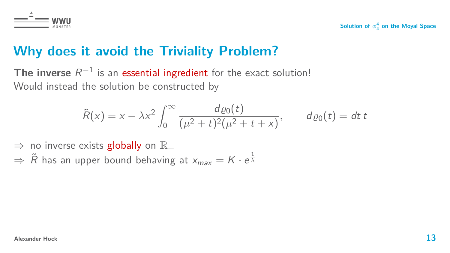

## **Why does it avoid the Triviality Problem?**

The inverse  $R^{-1}$  is an essential ingredient for the exact solution! Would instead the solution be constructed by

$$
\tilde{R}(x) = x - \lambda x^2 \int_0^\infty \frac{d\varrho_0(t)}{(\mu^2 + t)^2 (\mu^2 + t + x)}, \qquad d\varrho_0(t) = dt
$$

 $\Rightarrow$  no inverse exists globally on  $\mathbb{R}_+$ 

 $\Rightarrow$   $\tilde{R}$  has an upper bound behaving at  $x_{max}=K\cdot e^{\frac{1}{\lambda}}$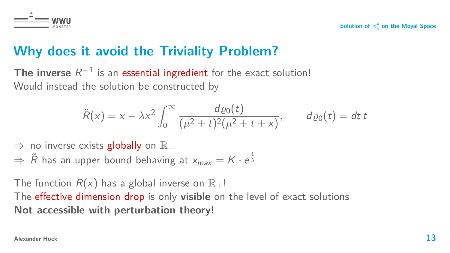

## **Why does it avoid the Triviality Problem?**

The inverse  $R^{-1}$  is an essential ingredient for the exact solution! Would instead the solution be constructed by

$$
\tilde{R}(x) = x - \lambda x^2 \int_0^{\infty} \frac{d\varrho_0(t)}{(\mu^2 + t)^2 (\mu^2 + t + x)}, \quad d\varrho_0(t) = dt
$$

 $\Rightarrow$  no inverse exists globally on  $\mathbb{R}_+$ 

 $\Rightarrow$   $\tilde{R}$  has an upper bound behaving at  $x_{max}=K\cdot e^{\frac{1}{\lambda}}$ 

The function  $R(x)$  has a global inverse on  $\mathbb{R}_+$ ! The effective dimension drop is only **visible** on the level of exact solutions **Not accessible with perturbation theory!**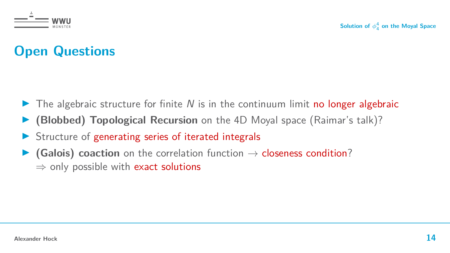

## **Open Questions**

- $\triangleright$  The algebraic structure for finite N is in the continuum limit no longer algebraic
- **I** (Blobbed) Topological Recursion on the 4D Moyal space (Raimar's talk)?
- $\triangleright$  Structure of generating series of iterated integrals
- **(Galois) coaction** on the correlation function  $\rightarrow$  closeness condition?  $\Rightarrow$  only possible with exact solutions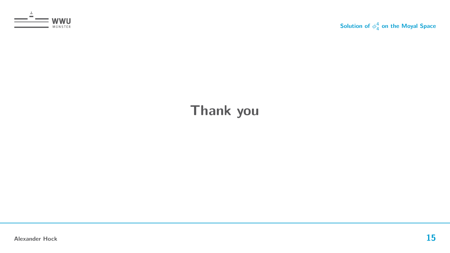

## **Thank you**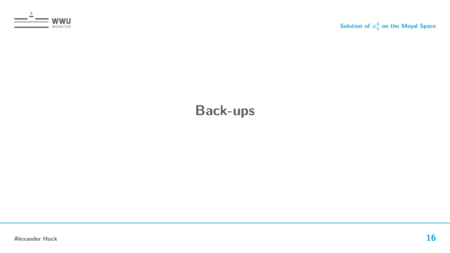

## **Back-ups**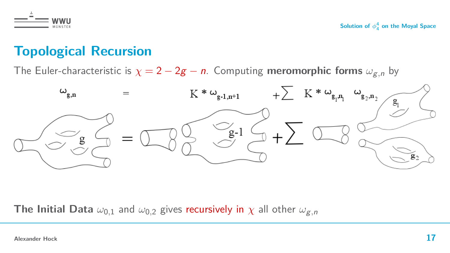

## **Topological Recursion**

The Euler-characteristic is  $\chi = 2 - 2g - n$ . Computing **meromorphic forms**  $\omega_{g,n}$  by



**The Initial Data**  $\omega_{0,1}$  and  $\omega_{0,2}$  gives recursively in  $\chi$  all other  $\omega_{g,n}$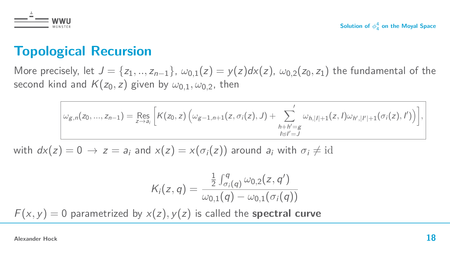

## **Topological Recursion**

More precisely, let  $J = \{z_1, ..., z_{n-1}\}\$ ,  $\omega_{0,1}(z) = y(z)dx(z)$ ,  $\omega_{0,2}(z_0, z_1)$  the fundamental of the second kind and  $K(z_0, z)$  given by  $\omega_{0,1}, \omega_{0,2}$ , then

$$
\omega_{g,n}(z_0,...,z_{n-1}) = \underset{z \to a_i}{\text{Res}} \left[ K(z_0,z) \left( \omega_{g-1,n+1}(z,\sigma_i(z),J) + \sum_{\substack{h+h'=g \\ l \in l'=J}}' \omega_{h,|l|+1}(z,l) \omega_{h',|l'|+1}(\sigma_i(z),l') \right) \right],
$$

with  $dx(z) = 0 \rightarrow z = a_i$  and  $x(z) = x(\sigma_i(z))$  around  $a_i$  with  $\sigma_i \neq id$ 

$$
K_i(z,q) = \frac{\frac{1}{2} \int_{\sigma_i(q)}^q \omega_{0,2}(z,q')}{\omega_{0,1}(q) - \omega_{0,1}(\sigma_i(q))}
$$

 $F(x, y) = 0$  parametrized by  $x(z)$ ,  $y(z)$  is called the **spectral curve**